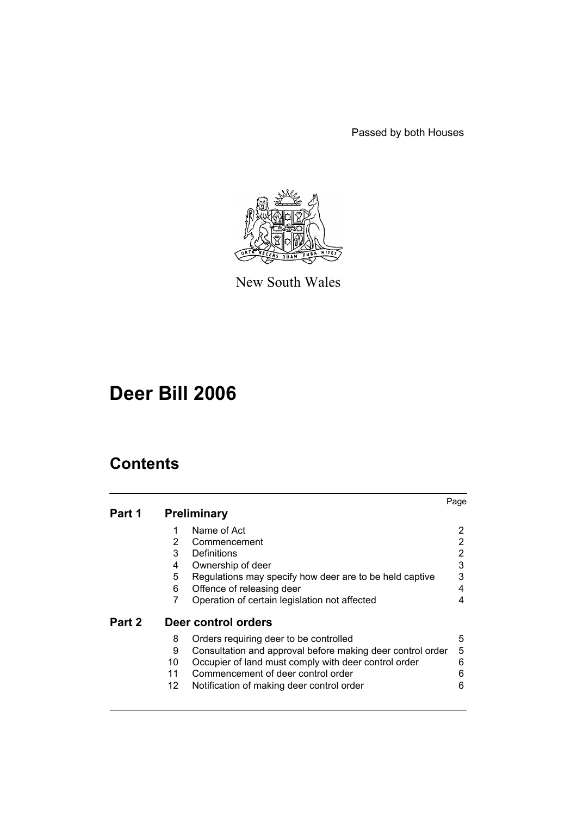Passed by both Houses



New South Wales

# **Deer Bill 2006**

# **Contents**

|        |                 |                                                            | Page |
|--------|-----------------|------------------------------------------------------------|------|
| Part 1 |                 | <b>Preliminary</b>                                         |      |
|        | 1               | Name of Act                                                | 2    |
|        | $\overline{2}$  | Commencement                                               | 2    |
|        | 3               | Definitions                                                | 2    |
|        | 4               | Ownership of deer                                          | 3    |
|        | 5               | Regulations may specify how deer are to be held captive    | 3    |
|        | 6               | Offence of releasing deer                                  | 4    |
|        | 7               | Operation of certain legislation not affected              | 4    |
| Part 2 |                 | Deer control orders                                        |      |
|        | 8               | Orders requiring deer to be controlled                     | 5    |
|        | 9               | Consultation and approval before making deer control order | 5    |
|        | 10              | Occupier of land must comply with deer control order       | 6    |
|        | 11              | Commencement of deer control order                         | 6    |
|        | 12 <sup>1</sup> | Notification of making deer control order                  | 6    |
|        |                 |                                                            |      |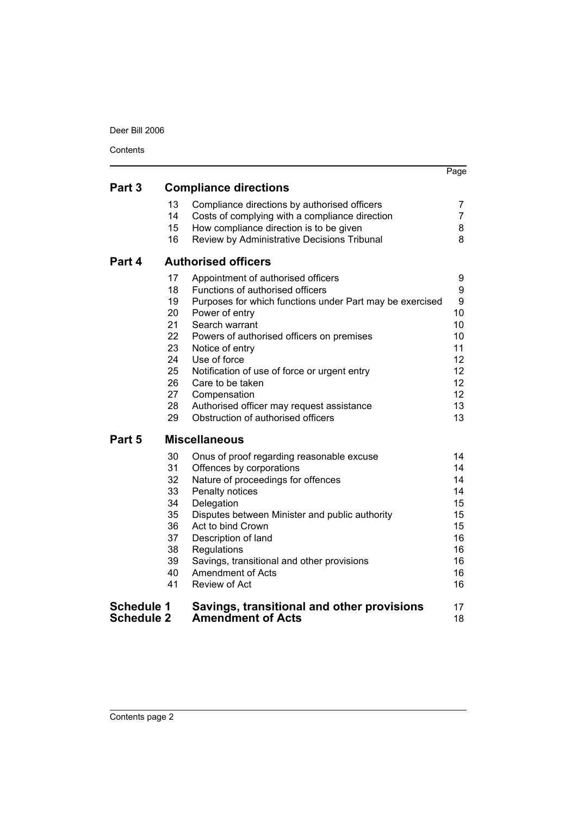Deer Bill 2006

| Contents                               |                                                                            |                                                                                                                                                                                                                                                                                                                                                                                                                               |                                                                                        |  |  |
|----------------------------------------|----------------------------------------------------------------------------|-------------------------------------------------------------------------------------------------------------------------------------------------------------------------------------------------------------------------------------------------------------------------------------------------------------------------------------------------------------------------------------------------------------------------------|----------------------------------------------------------------------------------------|--|--|
| Part 3                                 |                                                                            |                                                                                                                                                                                                                                                                                                                                                                                                                               | Page                                                                                   |  |  |
|                                        | 13<br>14<br>15<br>16                                                       | <b>Compliance directions</b><br>Compliance directions by authorised officers<br>Costs of complying with a compliance direction<br>How compliance direction is to be given<br>Review by Administrative Decisions Tribunal                                                                                                                                                                                                      | 7<br>7<br>8<br>8                                                                       |  |  |
| Part 4                                 | <b>Authorised officers</b>                                                 |                                                                                                                                                                                                                                                                                                                                                                                                                               |                                                                                        |  |  |
|                                        | 17<br>18<br>19<br>20<br>21<br>22<br>23<br>24<br>25<br>26<br>27<br>28<br>29 | Appointment of authorised officers<br>Functions of authorised officers<br>Purposes for which functions under Part may be exercised<br>Power of entry<br>Search warrant<br>Powers of authorised officers on premises<br>Notice of entry<br>Use of force<br>Notification of use of force or urgent entry<br>Care to be taken<br>Compensation<br>Authorised officer may request assistance<br>Obstruction of authorised officers | 9<br>9<br>9<br>10<br>10<br>10<br>11<br>12<br>$12 \overline{ }$<br>12<br>12<br>13<br>13 |  |  |
| Part 5                                 |                                                                            | <b>Miscellaneous</b>                                                                                                                                                                                                                                                                                                                                                                                                          |                                                                                        |  |  |
|                                        | 30<br>31<br>32<br>33<br>34<br>35<br>36<br>37<br>38<br>39<br>40<br>41       | Onus of proof regarding reasonable excuse<br>Offences by corporations<br>Nature of proceedings for offences<br>Penalty notices<br>Delegation<br>Disputes between Minister and public authority<br>Act to bind Crown<br>Description of land<br>Regulations<br>Savings, transitional and other provisions<br><b>Amendment of Acts</b><br>Review of Act                                                                          | 14<br>14<br>14<br>14<br>15<br>15<br>15<br>16<br>16<br>16<br>16<br>16                   |  |  |
| <b>Schedule 1</b><br><b>Schedule 2</b> |                                                                            | Savings, transitional and other provisions<br><b>Amendment of Acts</b>                                                                                                                                                                                                                                                                                                                                                        | 17<br>18                                                                               |  |  |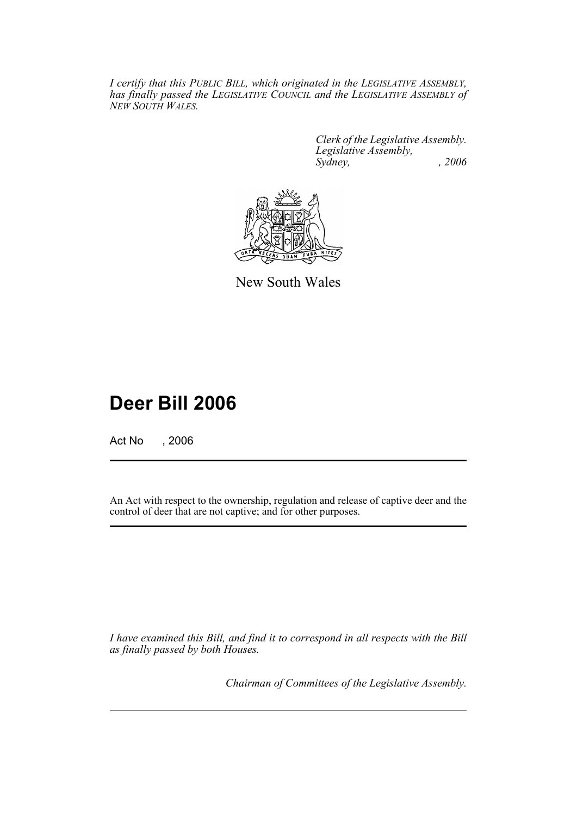*I certify that this PUBLIC BILL, which originated in the LEGISLATIVE ASSEMBLY, has finally passed the LEGISLATIVE COUNCIL and the LEGISLATIVE ASSEMBLY of NEW SOUTH WALES.*

> *Clerk of the Legislative Assembly. Legislative Assembly, Sydney,* , 2006



New South Wales

# **Deer Bill 2006**

Act No , 2006

An Act with respect to the ownership, regulation and release of captive deer and the control of deer that are not captive; and for other purposes.

*I have examined this Bill, and find it to correspond in all respects with the Bill as finally passed by both Houses.*

*Chairman of Committees of the Legislative Assembly.*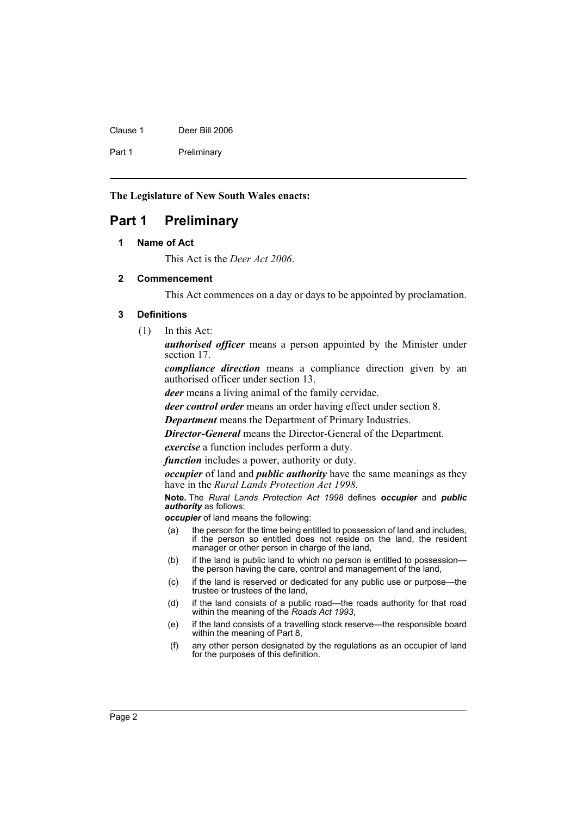| Clause 1 | Deer Bill 2006 |
|----------|----------------|
| Part 1   | Preliminary    |

**The Legislature of New South Wales enacts:**

# <span id="page-3-1"></span><span id="page-3-0"></span>**Part 1 Preliminary**

#### **1 Name of Act**

This Act is the *Deer Act 2006*.

#### <span id="page-3-2"></span>**2 Commencement**

This Act commences on a day or days to be appointed by proclamation.

#### <span id="page-3-3"></span>**3 Definitions**

(1) In this Act:

*authorised officer* means a person appointed by the Minister under section 17.

*compliance direction* means a compliance direction given by an authorised officer under section 13.

*deer* means a living animal of the family cervidae.

*deer control order* means an order having effect under section 8.

*Department* means the Department of Primary Industries.

*Director-General* means the Director-General of the Department.

*exercise* a function includes perform a duty.

*function* includes a power, authority or duty.

*occupier* of land and *public authority* have the same meanings as they have in the *Rural Lands Protection Act 1998*.

**Note.** The *Rural Lands Protection Act 1998* defines *occupier* and *public authority* as follows:

*occupier* of land means the following:

- (a) the person for the time being entitled to possession of land and includes, if the person so entitled does not reside on the land, the resident manager or other person in charge of the land,
- (b) if the land is public land to which no person is entitled to possession the person having the care, control and management of the land,
- (c) if the land is reserved or dedicated for any public use or purpose—the trustee or trustees of the land,
- (d) if the land consists of a public road—the roads authority for that road within the meaning of the *Roads Act 1993*,
- (e) if the land consists of a travelling stock reserve—the responsible board within the meaning of Part 8,
- (f) any other person designated by the regulations as an occupier of land for the purposes of this definition.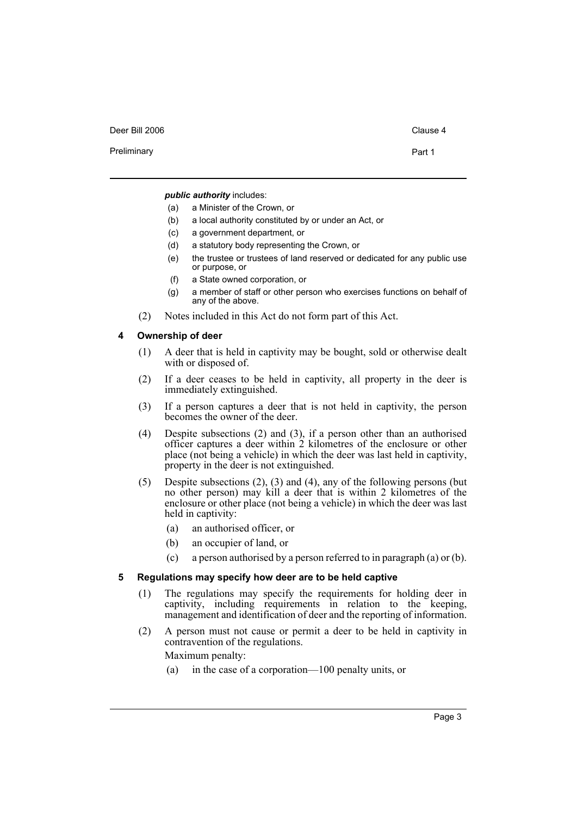Preliminary **Preliminary Part 1** 

*public authority* includes:

- (a) a Minister of the Crown, or
- (b) a local authority constituted by or under an Act, or
- (c) a government department, or
- (d) a statutory body representing the Crown, or
- (e) the trustee or trustees of land reserved or dedicated for any public use or purpose, or
- (f) a State owned corporation, or
- (g) a member of staff or other person who exercises functions on behalf of any of the above.
- (2) Notes included in this Act do not form part of this Act.

#### <span id="page-4-0"></span>**4 Ownership of deer**

- (1) A deer that is held in captivity may be bought, sold or otherwise dealt with or disposed of.
- (2) If a deer ceases to be held in captivity, all property in the deer is immediately extinguished.
- (3) If a person captures a deer that is not held in captivity, the person becomes the owner of the deer.
- (4) Despite subsections (2) and (3), if a person other than an authorised officer captures a deer within 2 kilometres of the enclosure or other place (not being a vehicle) in which the deer was last held in captivity, property in the deer is not extinguished.
- (5) Despite subsections (2), (3) and (4), any of the following persons (but no other person) may kill a deer that is within 2 kilometres of the enclosure or other place (not being a vehicle) in which the deer was last held in captivity:
	- (a) an authorised officer, or
	- (b) an occupier of land, or
	- (c) a person authorised by a person referred to in paragraph (a) or (b).

#### <span id="page-4-1"></span>**5 Regulations may specify how deer are to be held captive**

- (1) The regulations may specify the requirements for holding deer in captivity, including requirements in relation to the keeping, management and identification of deer and the reporting of information.
- (2) A person must not cause or permit a deer to be held in captivity in contravention of the regulations.

Maximum penalty:

(a) in the case of a corporation—100 penalty units, or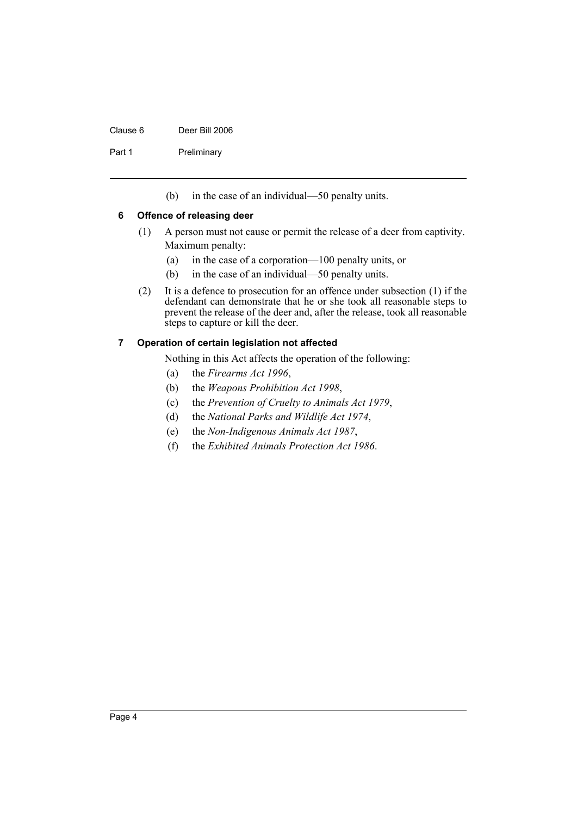#### Clause 6 Deer Bill 2006

Part 1 Preliminary

(b) in the case of an individual—50 penalty units.

#### <span id="page-5-0"></span>**6 Offence of releasing deer**

- (1) A person must not cause or permit the release of a deer from captivity. Maximum penalty:
	- (a) in the case of a corporation—100 penalty units, or
	- (b) in the case of an individual—50 penalty units.
- (2) It is a defence to prosecution for an offence under subsection (1) if the defendant can demonstrate that he or she took all reasonable steps to prevent the release of the deer and, after the release, took all reasonable steps to capture or kill the deer.

#### <span id="page-5-1"></span>**7 Operation of certain legislation not affected**

Nothing in this Act affects the operation of the following:

- (a) the *Firearms Act 1996*,
- (b) the *Weapons Prohibition Act 1998*,
- (c) the *Prevention of Cruelty to Animals Act 1979*,
- (d) the *National Parks and Wildlife Act 1974*,
- (e) the *Non-Indigenous Animals Act 1987*,
- (f) the *Exhibited Animals Protection Act 1986*.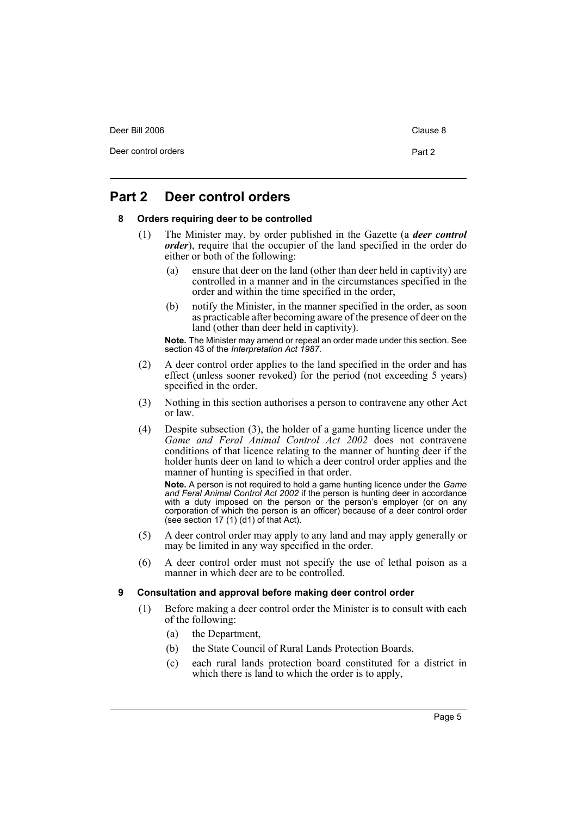Deer control orders **Part 2** 

## <span id="page-6-1"></span><span id="page-6-0"></span>**Part 2 Deer control orders**

#### **8 Orders requiring deer to be controlled**

- (1) The Minister may, by order published in the Gazette (a *deer control order*), require that the occupier of the land specified in the order do either or both of the following:
	- (a) ensure that deer on the land (other than deer held in captivity) are controlled in a manner and in the circumstances specified in the order and within the time specified in the order,
	- (b) notify the Minister, in the manner specified in the order, as soon as practicable after becoming aware of the presence of deer on the land (other than deer held in captivity).

**Note.** The Minister may amend or repeal an order made under this section. See section 43 of the *Interpretation Act 1987*.

- (2) A deer control order applies to the land specified in the order and has effect (unless sooner revoked) for the period (not exceeding 5 years) specified in the order.
- (3) Nothing in this section authorises a person to contravene any other Act or law.
- (4) Despite subsection (3), the holder of a game hunting licence under the *Game and Feral Animal Control Act 2002* does not contravene conditions of that licence relating to the manner of hunting deer if the holder hunts deer on land to which a deer control order applies and the manner of hunting is specified in that order.

**Note.** A person is not required to hold a game hunting licence under the *Game and Feral Animal Control Act 2002* if the person is hunting deer in accordance with a duty imposed on the person or the person's employer (or on any corporation of which the person is an officer) because of a deer control order (see section 17 (1) (d1) of that Act).

- (5) A deer control order may apply to any land and may apply generally or may be limited in any way specified in the order.
- (6) A deer control order must not specify the use of lethal poison as a manner in which deer are to be controlled.

#### <span id="page-6-2"></span>**9 Consultation and approval before making deer control order**

- (1) Before making a deer control order the Minister is to consult with each of the following:
	- (a) the Department,
	- (b) the State Council of Rural Lands Protection Boards,
	- (c) each rural lands protection board constituted for a district in which there is land to which the order is to apply,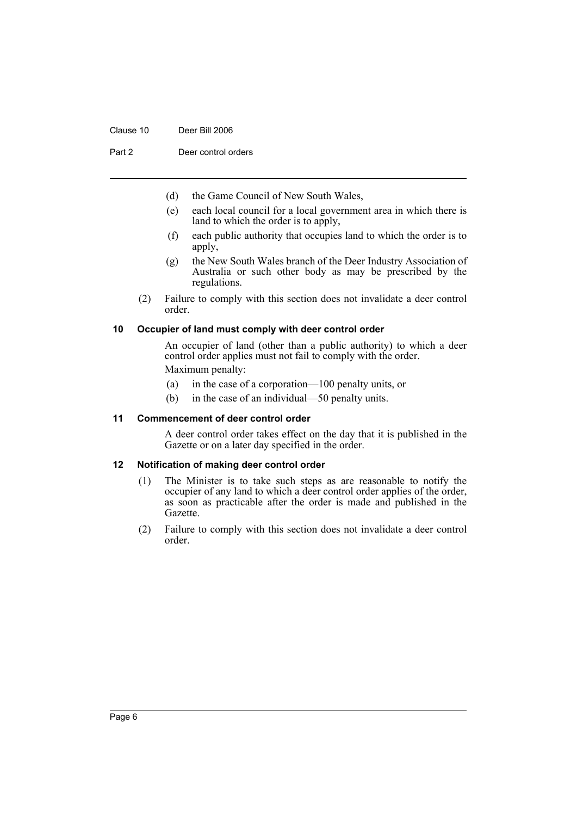#### Clause 10 Deer Bill 2006

Part 2 Deer control orders

- (d) the Game Council of New South Wales,
- (e) each local council for a local government area in which there is land to which the order is to apply,
- (f) each public authority that occupies land to which the order is to apply,
- (g) the New South Wales branch of the Deer Industry Association of Australia or such other body as may be prescribed by the regulations.
- (2) Failure to comply with this section does not invalidate a deer control order.

#### <span id="page-7-0"></span>**10 Occupier of land must comply with deer control order**

An occupier of land (other than a public authority) to which a deer control order applies must not fail to comply with the order. Maximum penalty:

- (a) in the case of a corporation—100 penalty units, or
- (b) in the case of an individual—50 penalty units.

#### <span id="page-7-1"></span>**11 Commencement of deer control order**

A deer control order takes effect on the day that it is published in the Gazette or on a later day specified in the order.

#### <span id="page-7-2"></span>**12 Notification of making deer control order**

- (1) The Minister is to take such steps as are reasonable to notify the occupier of any land to which a deer control order applies of the order, as soon as practicable after the order is made and published in the Gazette.
- (2) Failure to comply with this section does not invalidate a deer control order.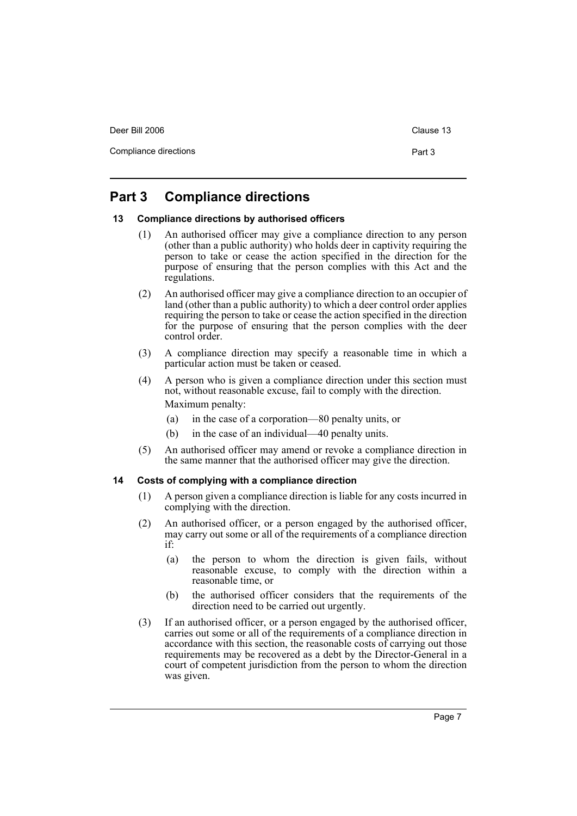Compliance directions **Part 3** 

# <span id="page-8-0"></span>**Part 3 Compliance directions**

#### <span id="page-8-1"></span>**13 Compliance directions by authorised officers**

- (1) An authorised officer may give a compliance direction to any person (other than a public authority) who holds deer in captivity requiring the person to take or cease the action specified in the direction for the purpose of ensuring that the person complies with this Act and the regulations.
- (2) An authorised officer may give a compliance direction to an occupier of land (other than a public authority) to which a deer control order applies requiring the person to take or cease the action specified in the direction for the purpose of ensuring that the person complies with the deer control order.
- (3) A compliance direction may specify a reasonable time in which a particular action must be taken or ceased.
- (4) A person who is given a compliance direction under this section must not, without reasonable excuse, fail to comply with the direction. Maximum penalty:
	- (a) in the case of a corporation—80 penalty units, or
	- (b) in the case of an individual—40 penalty units.
- (5) An authorised officer may amend or revoke a compliance direction in the same manner that the authorised officer may give the direction.

#### <span id="page-8-2"></span>**14 Costs of complying with a compliance direction**

- (1) A person given a compliance direction is liable for any costs incurred in complying with the direction.
- (2) An authorised officer, or a person engaged by the authorised officer, may carry out some or all of the requirements of a compliance direction if:
	- (a) the person to whom the direction is given fails, without reasonable excuse, to comply with the direction within a reasonable time, or
	- (b) the authorised officer considers that the requirements of the direction need to be carried out urgently.
- (3) If an authorised officer, or a person engaged by the authorised officer, carries out some or all of the requirements of a compliance direction in accordance with this section, the reasonable costs of carrying out those requirements may be recovered as a debt by the Director-General in a court of competent jurisdiction from the person to whom the direction was given.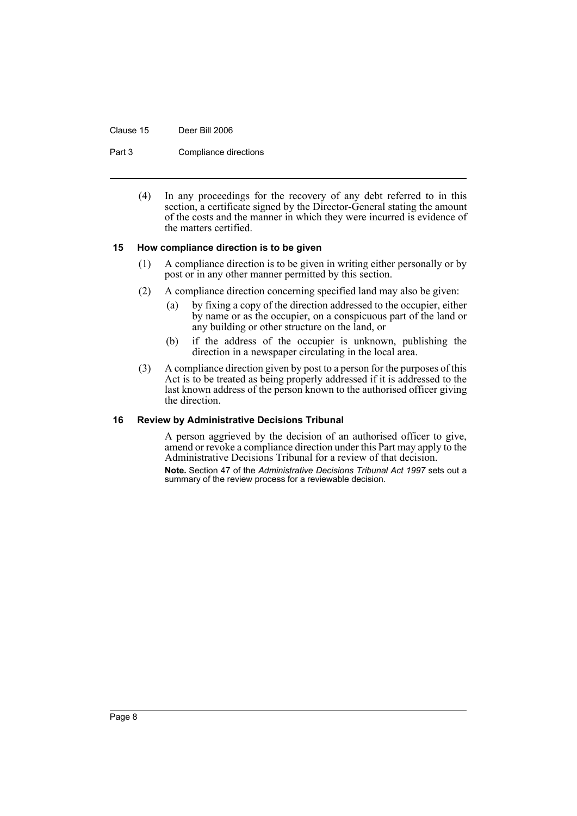#### Clause 15 Deer Bill 2006

Part 3 Compliance directions

(4) In any proceedings for the recovery of any debt referred to in this section, a certificate signed by the Director-General stating the amount of the costs and the manner in which they were incurred is evidence of the matters certified.

#### <span id="page-9-0"></span>**15 How compliance direction is to be given**

- (1) A compliance direction is to be given in writing either personally or by post or in any other manner permitted by this section.
- (2) A compliance direction concerning specified land may also be given:
	- (a) by fixing a copy of the direction addressed to the occupier, either by name or as the occupier, on a conspicuous part of the land or any building or other structure on the land, or
	- (b) if the address of the occupier is unknown, publishing the direction in a newspaper circulating in the local area.
- (3) A compliance direction given by post to a person for the purposes of this Act is to be treated as being properly addressed if it is addressed to the last known address of the person known to the authorised officer giving the direction.

#### <span id="page-9-1"></span>**16 Review by Administrative Decisions Tribunal**

A person aggrieved by the decision of an authorised officer to give, amend or revoke a compliance direction under this Part may apply to the Administrative Decisions Tribunal for a review of that decision.

**Note.** Section 47 of the *Administrative Decisions Tribunal Act 1997* sets out a summary of the review process for a reviewable decision.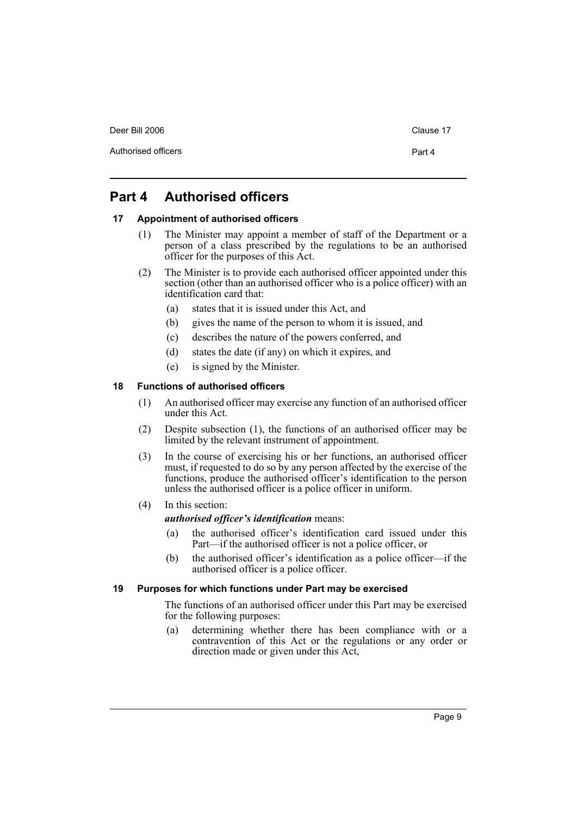Authorised officers **Part 4** 

# <span id="page-10-0"></span>**Part 4 Authorised officers**

#### <span id="page-10-1"></span>**17 Appointment of authorised officers**

- (1) The Minister may appoint a member of staff of the Department or a person of a class prescribed by the regulations to be an authorised officer for the purposes of this Act.
- (2) The Minister is to provide each authorised officer appointed under this section (other than an authorised officer who is a police officer) with an identification card that:
	- (a) states that it is issued under this Act, and
	- (b) gives the name of the person to whom it is issued, and
	- (c) describes the nature of the powers conferred, and
	- (d) states the date (if any) on which it expires, and
	- (e) is signed by the Minister.

#### <span id="page-10-2"></span>**18 Functions of authorised officers**

- (1) An authorised officer may exercise any function of an authorised officer under this Act.
- (2) Despite subsection (1), the functions of an authorised officer may be limited by the relevant instrument of appointment.
- (3) In the course of exercising his or her functions, an authorised officer must, if requested to do so by any person affected by the exercise of the functions, produce the authorised officer's identification to the person unless the authorised officer is a police officer in uniform.
- (4) In this section:

#### *authorised officer's identification* means:

- (a) the authorised officer's identification card issued under this Part—if the authorised officer is not a police officer, or
- (b) the authorised officer's identification as a police officer—if the authorised officer is a police officer.

#### <span id="page-10-3"></span>**19 Purposes for which functions under Part may be exercised**

The functions of an authorised officer under this Part may be exercised for the following purposes:

(a) determining whether there has been compliance with or a contravention of this Act or the regulations or any order or direction made or given under this Act,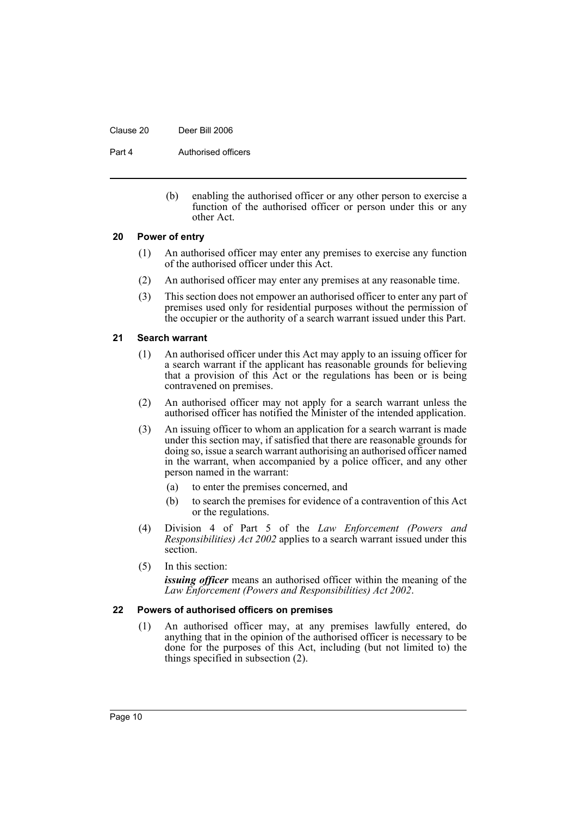#### Clause 20 Deer Bill 2006

Part 4 **Authorised officers** 

(b) enabling the authorised officer or any other person to exercise a function of the authorised officer or person under this or any other Act.

#### <span id="page-11-0"></span>**20 Power of entry**

- (1) An authorised officer may enter any premises to exercise any function of the authorised officer under this Act.
- (2) An authorised officer may enter any premises at any reasonable time.
- (3) This section does not empower an authorised officer to enter any part of premises used only for residential purposes without the permission of the occupier or the authority of a search warrant issued under this Part.

#### <span id="page-11-1"></span>**21 Search warrant**

- (1) An authorised officer under this Act may apply to an issuing officer for a search warrant if the applicant has reasonable grounds for believing that a provision of this Act or the regulations has been or is being contravened on premises.
- (2) An authorised officer may not apply for a search warrant unless the authorised officer has notified the Minister of the intended application.
- (3) An issuing officer to whom an application for a search warrant is made under this section may, if satisfied that there are reasonable grounds for doing so, issue a search warrant authorising an authorised officer named in the warrant, when accompanied by a police officer, and any other person named in the warrant:
	- (a) to enter the premises concerned, and
	- (b) to search the premises for evidence of a contravention of this Act or the regulations.
- (4) Division 4 of Part 5 of the *Law Enforcement (Powers and Responsibilities) Act 2002* applies to a search warrant issued under this section.
- (5) In this section:

*issuing officer* means an authorised officer within the meaning of the *Law Enforcement (Powers and Responsibilities) Act 2002*.

#### <span id="page-11-2"></span>**22 Powers of authorised officers on premises**

(1) An authorised officer may, at any premises lawfully entered, do anything that in the opinion of the authorised officer is necessary to be done for the purposes of this Act, including (but not limited to) the things specified in subsection (2).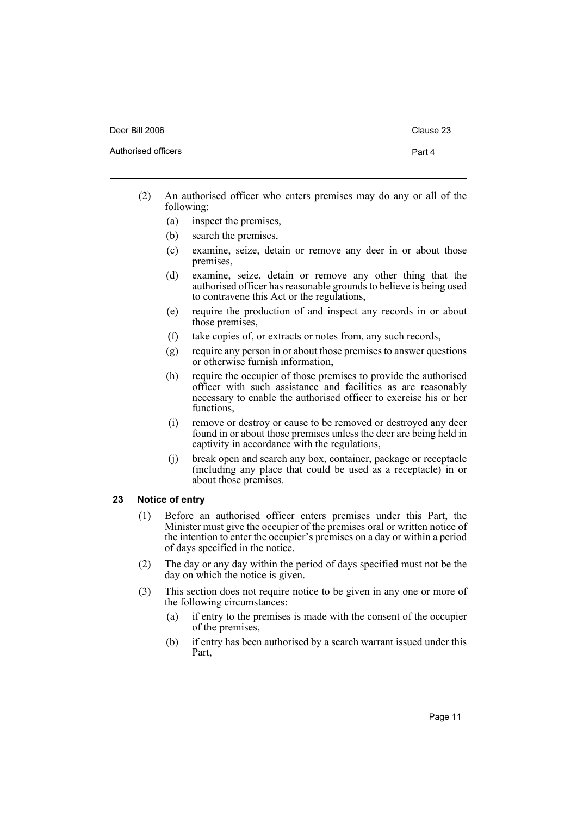Authorised officers **Part 4** 

- 
- (2) An authorised officer who enters premises may do any or all of the following:
	- (a) inspect the premises,
	- (b) search the premises,
	- (c) examine, seize, detain or remove any deer in or about those premises,
	- (d) examine, seize, detain or remove any other thing that the authorised officer has reasonable grounds to believe is being used to contravene this Act or the regulations,
	- (e) require the production of and inspect any records in or about those premises,
	- (f) take copies of, or extracts or notes from, any such records,
	- (g) require any person in or about those premises to answer questions or otherwise furnish information,
	- (h) require the occupier of those premises to provide the authorised officer with such assistance and facilities as are reasonably necessary to enable the authorised officer to exercise his or her functions,
	- (i) remove or destroy or cause to be removed or destroyed any deer found in or about those premises unless the deer are being held in captivity in accordance with the regulations,
	- (j) break open and search any box, container, package or receptacle (including any place that could be used as a receptacle) in or about those premises.

#### <span id="page-12-0"></span>**23 Notice of entry**

- (1) Before an authorised officer enters premises under this Part, the Minister must give the occupier of the premises oral or written notice of the intention to enter the occupier's premises on a day or within a period of days specified in the notice.
- (2) The day or any day within the period of days specified must not be the day on which the notice is given.
- (3) This section does not require notice to be given in any one or more of the following circumstances:
	- (a) if entry to the premises is made with the consent of the occupier of the premises,
	- (b) if entry has been authorised by a search warrant issued under this Part,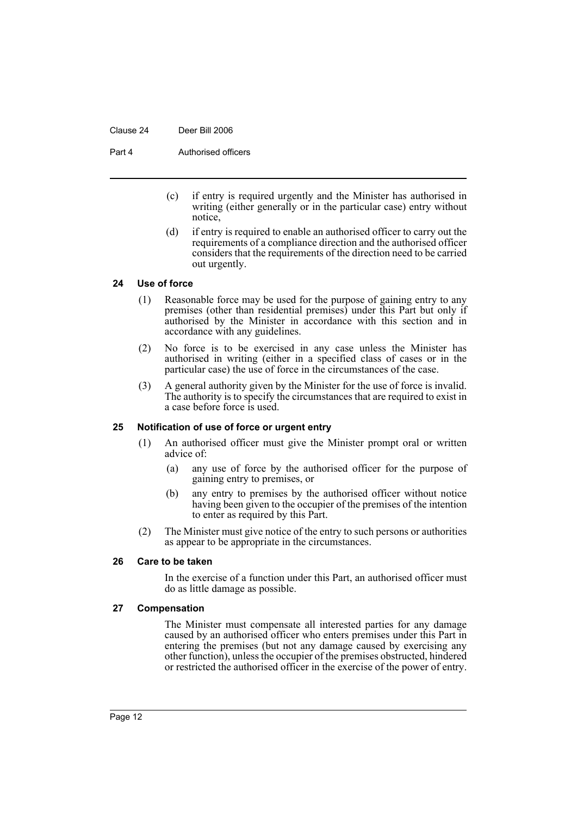#### Clause 24 Deer Bill 2006

Part 4 **Authorised officers** 

- (c) if entry is required urgently and the Minister has authorised in writing (either generally or in the particular case) entry without notice,
- (d) if entry is required to enable an authorised officer to carry out the requirements of a compliance direction and the authorised officer considers that the requirements of the direction need to be carried out urgently.

#### <span id="page-13-0"></span>**24 Use of force**

- (1) Reasonable force may be used for the purpose of gaining entry to any premises (other than residential premises) under this Part but only if authorised by the Minister in accordance with this section and in accordance with any guidelines.
- (2) No force is to be exercised in any case unless the Minister has authorised in writing (either in a specified class of cases or in the particular case) the use of force in the circumstances of the case.
- (3) A general authority given by the Minister for the use of force is invalid. The authority is to specify the circumstances that are required to exist in a case before force is used.

#### <span id="page-13-1"></span>**25 Notification of use of force or urgent entry**

- (1) An authorised officer must give the Minister prompt oral or written advice of:
	- (a) any use of force by the authorised officer for the purpose of gaining entry to premises, or
	- (b) any entry to premises by the authorised officer without notice having been given to the occupier of the premises of the intention to enter as required by this Part.
- (2) The Minister must give notice of the entry to such persons or authorities as appear to be appropriate in the circumstances.

#### <span id="page-13-2"></span>**26 Care to be taken**

In the exercise of a function under this Part, an authorised officer must do as little damage as possible.

#### <span id="page-13-3"></span>**27 Compensation**

The Minister must compensate all interested parties for any damage caused by an authorised officer who enters premises under this Part in entering the premises (but not any damage caused by exercising any other function), unless the occupier of the premises obstructed, hindered or restricted the authorised officer in the exercise of the power of entry.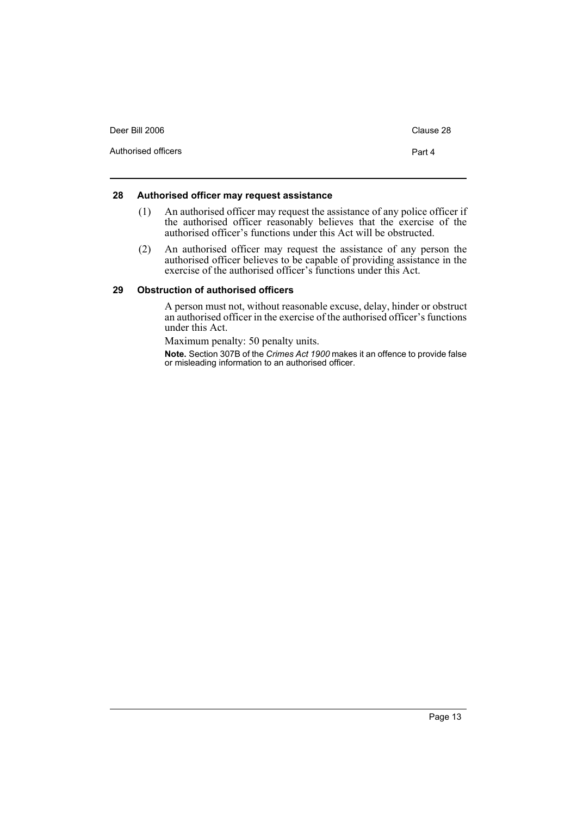| Deer Bill 2006      | Clause 28 |
|---------------------|-----------|
| Authorised officers | Part 4    |

#### <span id="page-14-0"></span>**28 Authorised officer may request assistance**

- (1) An authorised officer may request the assistance of any police officer if the authorised officer reasonably believes that the exercise of the authorised officer's functions under this Act will be obstructed.
- (2) An authorised officer may request the assistance of any person the authorised officer believes to be capable of providing assistance in the exercise of the authorised officer's functions under this Act.

#### <span id="page-14-1"></span>**29 Obstruction of authorised officers**

A person must not, without reasonable excuse, delay, hinder or obstruct an authorised officer in the exercise of the authorised officer's functions under this Act.

Maximum penalty: 50 penalty units.

**Note.** Section 307B of the *Crimes Act 1900* makes it an offence to provide false or misleading information to an authorised officer.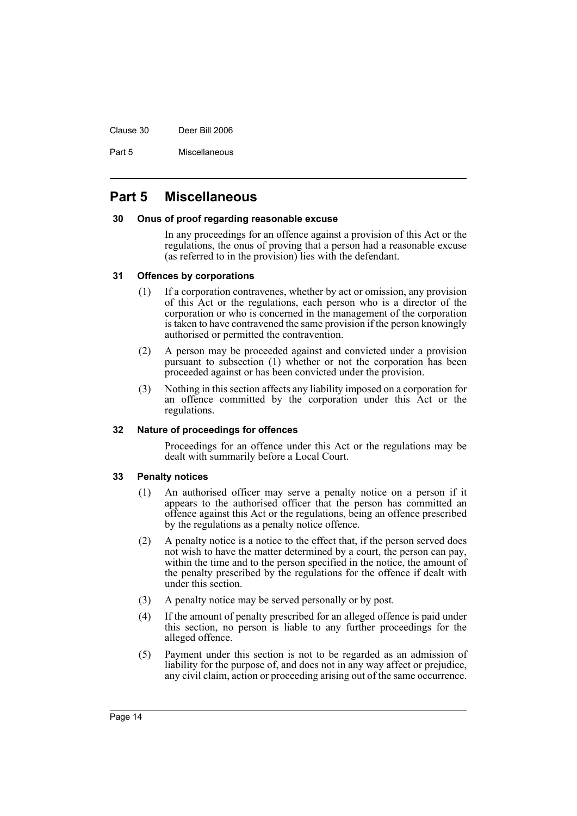Clause 30 Deer Bill 2006

Part 5 Miscellaneous

## <span id="page-15-0"></span>**Part 5 Miscellaneous**

#### <span id="page-15-1"></span>**30 Onus of proof regarding reasonable excuse**

In any proceedings for an offence against a provision of this Act or the regulations, the onus of proving that a person had a reasonable excuse (as referred to in the provision) lies with the defendant.

#### <span id="page-15-2"></span>**31 Offences by corporations**

- (1) If a corporation contravenes, whether by act or omission, any provision of this Act or the regulations, each person who is a director of the corporation or who is concerned in the management of the corporation is taken to have contravened the same provision if the person knowingly authorised or permitted the contravention.
- (2) A person may be proceeded against and convicted under a provision pursuant to subsection (1) whether or not the corporation has been proceeded against or has been convicted under the provision.
- (3) Nothing in this section affects any liability imposed on a corporation for an offence committed by the corporation under this Act or the regulations.

#### <span id="page-15-3"></span>**32 Nature of proceedings for offences**

Proceedings for an offence under this Act or the regulations may be dealt with summarily before a Local Court.

#### <span id="page-15-4"></span>**33 Penalty notices**

- (1) An authorised officer may serve a penalty notice on a person if it appears to the authorised officer that the person has committed an offence against this Act or the regulations, being an offence prescribed by the regulations as a penalty notice offence.
- (2) A penalty notice is a notice to the effect that, if the person served does not wish to have the matter determined by a court, the person can pay, within the time and to the person specified in the notice, the amount of the penalty prescribed by the regulations for the offence if dealt with under this section.
- (3) A penalty notice may be served personally or by post.
- (4) If the amount of penalty prescribed for an alleged offence is paid under this section, no person is liable to any further proceedings for the alleged offence.
- (5) Payment under this section is not to be regarded as an admission of liability for the purpose of, and does not in any way affect or prejudice, any civil claim, action or proceeding arising out of the same occurrence.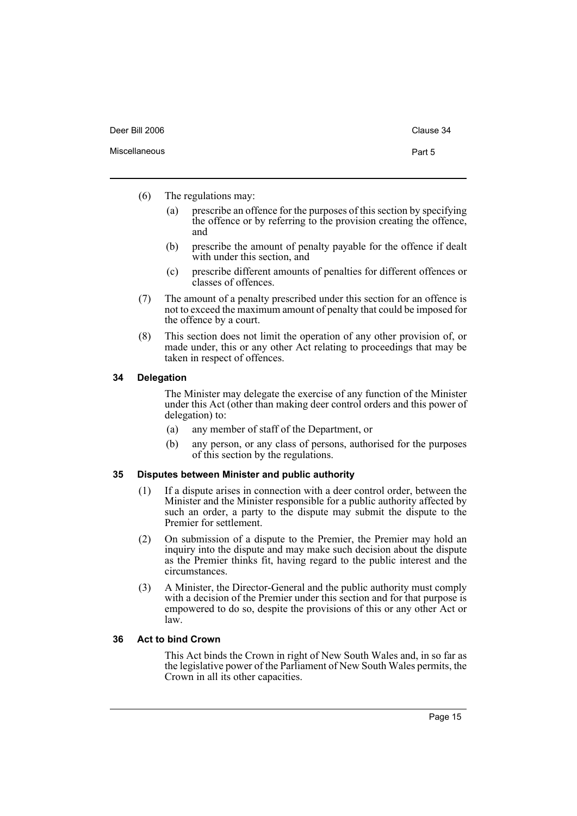| Deer Bill 2006 | Clause 34 |
|----------------|-----------|
| Miscellaneous  | Part 5    |

- (6) The regulations may:
	- (a) prescribe an offence for the purposes of this section by specifying the offence or by referring to the provision creating the offence, and
	- (b) prescribe the amount of penalty payable for the offence if dealt with under this section, and
	- (c) prescribe different amounts of penalties for different offences or classes of offences.
- (7) The amount of a penalty prescribed under this section for an offence is not to exceed the maximum amount of penalty that could be imposed for the offence by a court.
- (8) This section does not limit the operation of any other provision of, or made under, this or any other Act relating to proceedings that may be taken in respect of offences.

#### <span id="page-16-0"></span>**34 Delegation**

The Minister may delegate the exercise of any function of the Minister under this Act (other than making deer control orders and this power of delegation) to:

- (a) any member of staff of the Department, or
- (b) any person, or any class of persons, authorised for the purposes of this section by the regulations.

#### <span id="page-16-1"></span>**35 Disputes between Minister and public authority**

- (1) If a dispute arises in connection with a deer control order, between the Minister and the Minister responsible for a public authority affected by such an order, a party to the dispute may submit the dispute to the Premier for settlement.
- (2) On submission of a dispute to the Premier, the Premier may hold an inquiry into the dispute and may make such decision about the dispute as the Premier thinks fit, having regard to the public interest and the circumstances.
- (3) A Minister, the Director-General and the public authority must comply with a decision of the Premier under this section and for that purpose is empowered to do so, despite the provisions of this or any other Act or law.

#### <span id="page-16-2"></span>**36 Act to bind Crown**

This Act binds the Crown in right of New South Wales and, in so far as the legislative power of the Parliament of New South Wales permits, the Crown in all its other capacities.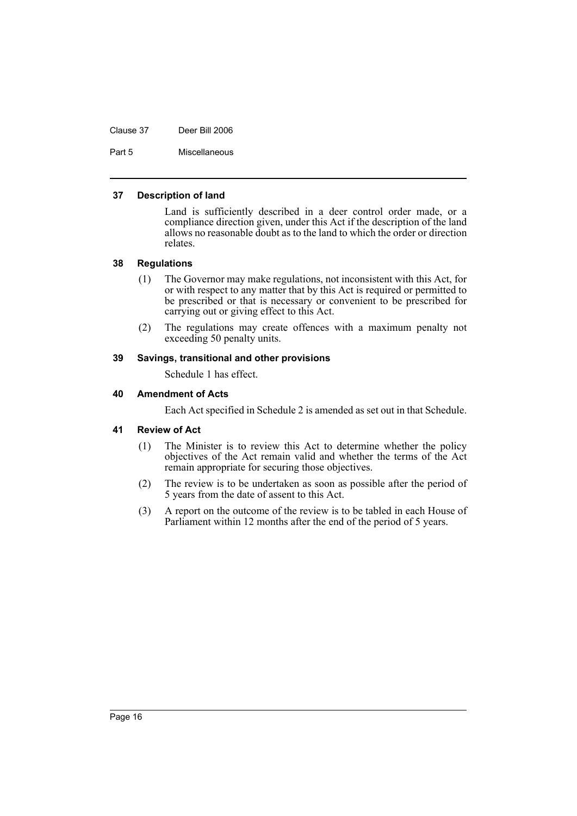Clause 37 Deer Bill 2006

Part 5 Miscellaneous

#### <span id="page-17-0"></span>**37 Description of land**

Land is sufficiently described in a deer control order made, or a compliance direction given, under this Act if the description of the land allows no reasonable doubt as to the land to which the order or direction relates.

#### <span id="page-17-1"></span>**38 Regulations**

- (1) The Governor may make regulations, not inconsistent with this Act, for or with respect to any matter that by this Act is required or permitted to be prescribed or that is necessary or convenient to be prescribed for carrying out or giving effect to this Act.
- (2) The regulations may create offences with a maximum penalty not exceeding 50 penalty units.

#### <span id="page-17-2"></span>**39 Savings, transitional and other provisions**

Schedule 1 has effect.

#### <span id="page-17-3"></span>**40 Amendment of Acts**

Each Act specified in Schedule 2 is amended as set out in that Schedule.

#### <span id="page-17-4"></span>**41 Review of Act**

- (1) The Minister is to review this Act to determine whether the policy objectives of the Act remain valid and whether the terms of the Act remain appropriate for securing those objectives.
- (2) The review is to be undertaken as soon as possible after the period of 5 years from the date of assent to this Act.
- (3) A report on the outcome of the review is to be tabled in each House of Parliament within 12 months after the end of the period of 5 years.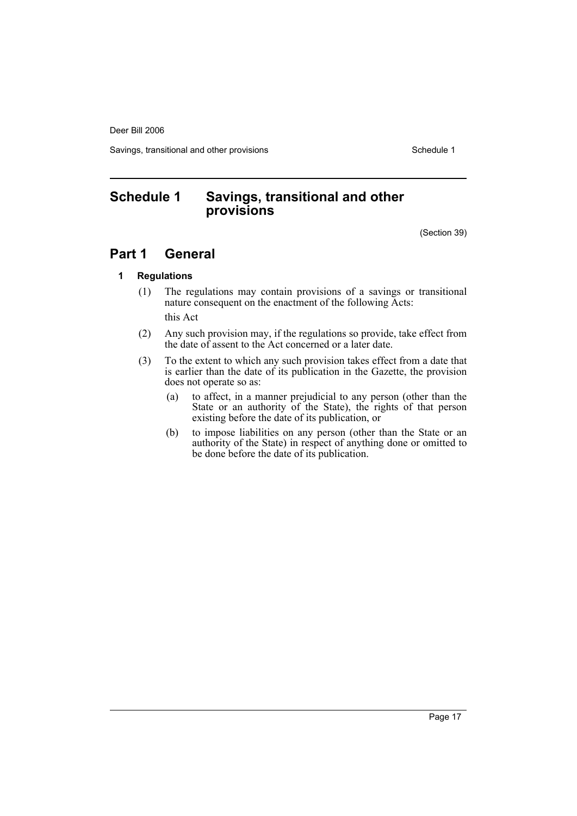Deer Bill 2006

Savings, transitional and other provisions Schedule 1

## <span id="page-18-0"></span>**Schedule 1 Savings, transitional and other provisions**

(Section 39)

## **Part 1 General**

#### **1 Regulations**

(1) The regulations may contain provisions of a savings or transitional nature consequent on the enactment of the following Acts:

this Act

- (2) Any such provision may, if the regulations so provide, take effect from the date of assent to the Act concerned or a later date.
- (3) To the extent to which any such provision takes effect from a date that is earlier than the date of its publication in the Gazette, the provision does not operate so as:
	- (a) to affect, in a manner prejudicial to any person (other than the State or an authority of the State), the rights of that person existing before the date of its publication, or
	- (b) to impose liabilities on any person (other than the State or an authority of the State) in respect of anything done or omitted to be done before the date of its publication.